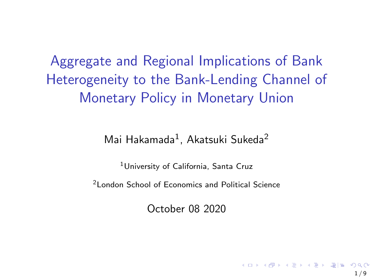Aggregate and Regional Implications of Bank Heterogeneity to the Bank-Lending Channel of Monetary Policy in Monetary Union

Mai Hakamada<sup>1</sup>, Akatsuki Sukeda<sup>2</sup>

<sup>1</sup>University of California, Santa Cruz

<sup>2</sup>London School of Economics and Political Science

October 08 2020

1 / 9

**KOD KAD KED KED EE MAA**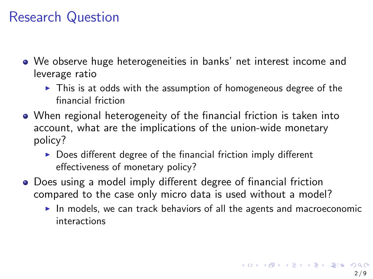### Research Question

- We observe huge heterogeneities in banks' net interest income and leverage ratio
	- $\triangleright$  This is at odds with the assumption of homogeneous degree of the financial friction
- When regional heterogeneity of the financial friction is taken into account, what are the implications of the union-wide monetary policy?
	- $\triangleright$  Does different degree of the financial friction imply different effectiveness of monetary policy?
- Does using a model imply different degree of financial friction compared to the case only micro data is used without a model?
	- In models, we can track behaviors of all the agents and macroeconomic interactions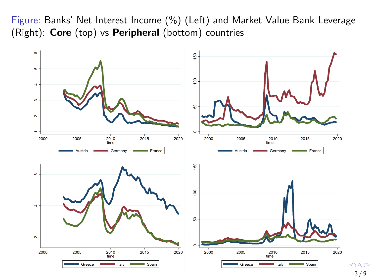Figure: Banks' Net Interest Income (%) (Left) and Market Value Bank Leverage (Right): Core (top) vs Peripheral (bottom) countries



3 / 9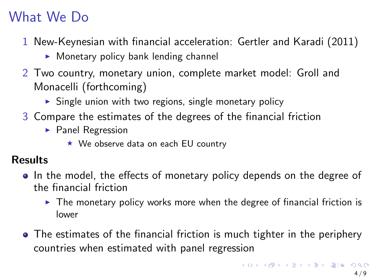# <span id="page-3-0"></span>What We Do

- 1 New-Keynesian with financial acceleration: Gertler and Karadi (2011)
	- $\triangleright$  Monetary policy bank lending channel
- 2 Two country, monetary union, complete market model: Groll and Monacelli (forthcoming)
	- $\triangleright$  Single union with two regions, single monetary policy
- 3 Compare the estimates of the degrees of the financial friction
	- $\blacktriangleright$  Panel Regression
		- $\star$  We observe data on each EU country

#### **Results**

- In the model, the effects of monetary policy depends on the degree of the financial friction
	- $\triangleright$  The monetary policy works more when the degree of financial friction is lower
- The estimates of the financial friction is much tighter in the periphery countries when estimated with panel regression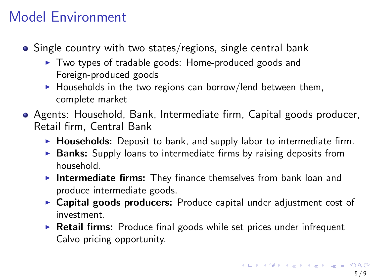# <span id="page-4-0"></span>Model Environment

- Single country with two states/regions, single central bank
	- $\blacktriangleright$  Two types of tradable goods: Home-produced goods and Foreign-produced goods
	- $\blacktriangleright$  Households in the two regions can borrow/lend between them, complete market
- Agents: Household, Bank, Intermediate firm, Capital goods producer, Retail firm, Central Bank
	- $\triangleright$  **Households:** Deposit to bank, and supply labor to intermediate firm.
	- $\triangleright$  Banks: Supply loans to intermediate firms by raising deposits from household.
	- $\triangleright$  Intermediate firms: They finance themselves from bank loan and produce intermediate goods.
	- $\triangleright$  Capital goods producers: Produce capital under adjustment cost of investment.
	- $\triangleright$  Retail firms: Produce final goods while set prices under infrequent Calvo pricing opportunity.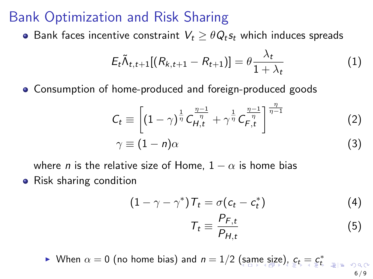#### <span id="page-5-0"></span>Bank Optimization and Risk Sharing

• Bank faces incentive constraint  $V_t \geq \theta Q_t s_t$  which induces spreads

$$
E_t \tilde{\Lambda}_{t,t+1}[(R_{k,t+1} - R_{t+1})] = \theta \frac{\lambda_t}{1 + \lambda_t}
$$
 (1)

Consumption of home-produced and foreign-produced goods

$$
C_t \equiv \left[ (1 - \gamma)^{\frac{1}{\eta}} C_{H,t}^{\frac{\eta - 1}{\eta}} + \gamma^{\frac{1}{\eta}} C_{F,t}^{\frac{\eta - 1}{\eta}} \right]^{\frac{\eta}{\eta - 1}}
$$
  

$$
\gamma \equiv (1 - n)\alpha
$$
 (3)

where *n* is the relative size of Home,  $1 - \alpha$  is home bias • Risk sharing condition

$$
(1 - \gamma - \gamma^*)T_t = \sigma(c_t - c_t^*)
$$
  
\n
$$
T_t \equiv \frac{P_{F,t}}{P_{H,t}}
$$
\n(4)

► Wh[e](#page-6-0)n  $\alpha = 0$  $\alpha = 0$  $\alpha = 0$  (no ho[m](#page-6-0)[e](#page-4-0) bias) and  $n = 1/2$  [\(sa](#page-4-0)me [siz](#page-5-0)e[\),](#page-3-0)  $C_t = C_t^*$  $C_t = C_t^*$  $C_t = C_t^*$ 6 / 9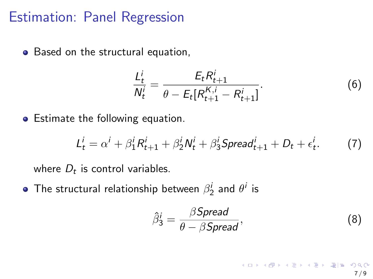#### <span id="page-6-0"></span>Estimation: Panel Regression

• Based on the structural equation,

$$
\frac{L_t^i}{N_t^i} = \frac{E_t R_{t+1}^i}{\theta - E_t [R_{t+1}^{K,i} - R_{t+1}^i]}.
$$
(6)

• Estimate the following equation.

$$
L_t^i = \alpha^i + \beta_1^i R_{t+1}^i + \beta_2^i N_t^i + \beta_3^i \text{Spread}_{t+1}^i + D_t + \epsilon_t^i. \tag{7}
$$

where  $D_t$  is control variables.

The structural relationship between  $\beta_2^i$  and  $\theta^i$  is

$$
\hat{\beta}_3^i = \frac{\beta \text{Spread}}{\theta - \beta \text{Spread}},\tag{8}
$$

K ロ ▶ K @ ▶ K 결 ▶ K 결 ▶ [결]일 ⊙ Q ⊙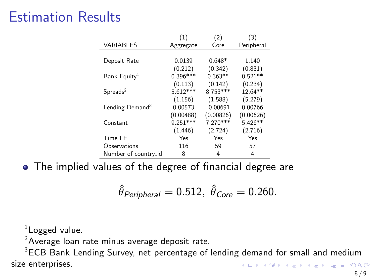# Estimation Results

|                             | (1)        | (2)        | (3)        |
|-----------------------------|------------|------------|------------|
| <b>VARIABLES</b>            | Aggregate  | Core       | Peripheral |
|                             |            |            |            |
| Deposit Rate                | 0.0139     | $0.648*$   | 1.140      |
|                             | (0.212)    | (0.342)    | (0.831)    |
| Bank Equity <sup>1</sup>    | $0.396***$ | $0.363**$  | $0.521**$  |
|                             | (0.113)    | (0.142)    | (0.234)    |
| $S$ preads <sup>2</sup>     | $5.612***$ | 8.753***   | 12.64**    |
|                             | (1.156)    | (1.588)    | (5.279)    |
| Lending Demand <sup>3</sup> | 0.00573    | $-0.00691$ | 0.00766    |
|                             | (0.00488)  | (0.00826)  | (0.00626)  |
| Constant                    | $9.251***$ | 7.270***   | $5.426**$  |
|                             | (1.446)    | (2.724)    | (2.716)    |
| Time FE                     | Yes        | Yes        | Yes        |
| Observations                | 116        | 59         | 57         |
| Number of country_id        | 8          | 4          | 4          |

• The implied values of the degree of financial degree are

$$
\hat{\theta}_{Peripheral} = 0.512, \ \hat{\theta}_{Core} = 0.260.
$$

 $1$ Logged value.

 $2A$ verage loan rate minus average deposit rate.

<sup>&</sup>lt;sup>3</sup>ECB Bank Lending Survey, net percentage of lending demand for small and medium size enterprises.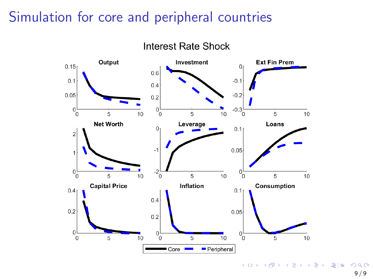#### <span id="page-8-0"></span>Simulation for core and peripheral countries



Interest Rate Shock

K ロ ▶ K @ ▶ K 결 ▶ K 결 ▶ [결]일 ⊙ Q ⊙ 9 / 9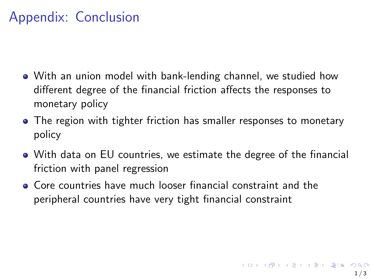### <span id="page-9-0"></span>Appendix: Conclusion

- With an union model with bank-lending channel, we studied how different degree of the financial friction affects the responses to monetary policy
- The region with tighter friction has smaller responses to monetary policy
- With data on EU countries, we estimate the degree of the financial friction with panel regression
- Core countries have much looser financial constraint and the peripheral countries have very tight financial constraint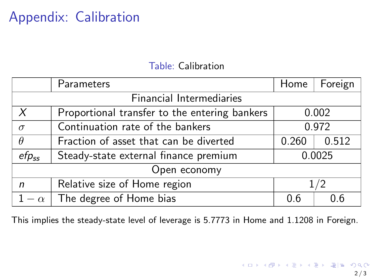### Appendix: Calibration

#### Table: Calibration

|                                 | Parameters                                    |       | Foreign |  |
|---------------------------------|-----------------------------------------------|-------|---------|--|
| <b>Financial Intermediaries</b> |                                               |       |         |  |
| $\chi$                          | Proportional transfer to the entering bankers |       | 0.002   |  |
| $\sigma$                        | Continuation rate of the bankers              |       | 0.972   |  |
| $\theta$                        | Fraction of asset that can be diverted        | 0.260 | 0.512   |  |
| $efp_{ss}$                      | Steady-state external finance premium         |       | 0.0025  |  |
| Open economy                    |                                               |       |         |  |
| n                               | Relative size of Home region                  | 1/2   |         |  |
| $-\alpha$                       | The degree of Home bias                       | 0.6   | 0.6     |  |

This implies the steady-state level of leverage is 5.7773 in Home and 1.1208 in Foreign.